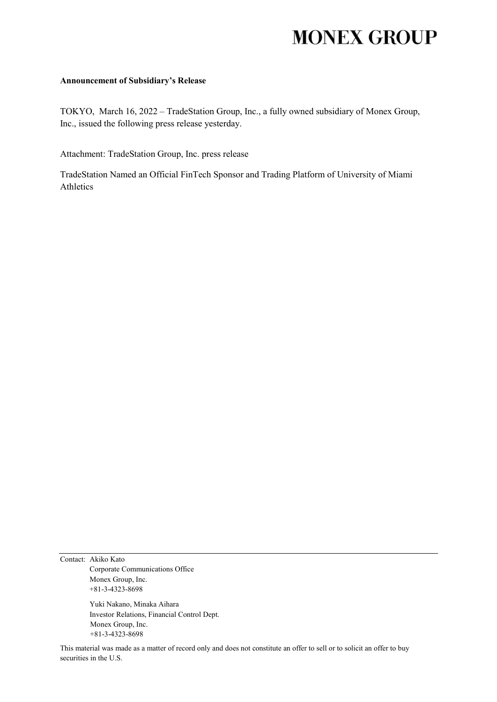# **MONEX GROUP**

#### **Announcement of Subsidiary's Release**

TOKYO, March 16, 2022 – TradeStation Group, Inc., a fully owned subsidiary of Monex Group, Inc., issued the following press release yesterday.

Attachment: TradeStation Group, Inc. press release

TradeStation Named an Official FinTech Sponsor and Trading Platform of University of Miami Athletics

Contact: Akiko Kato Corporate Communications Office Monex Group, Inc. +81-3-4323-8698

> Yuki Nakano, Minaka Aihara Investor Relations, Financial Control Dept. Monex Group, Inc. +81-3-4323-8698

This material was made as a matter of record only and does not constitute an offer to sell or to solicit an offer to buy securities in the U.S.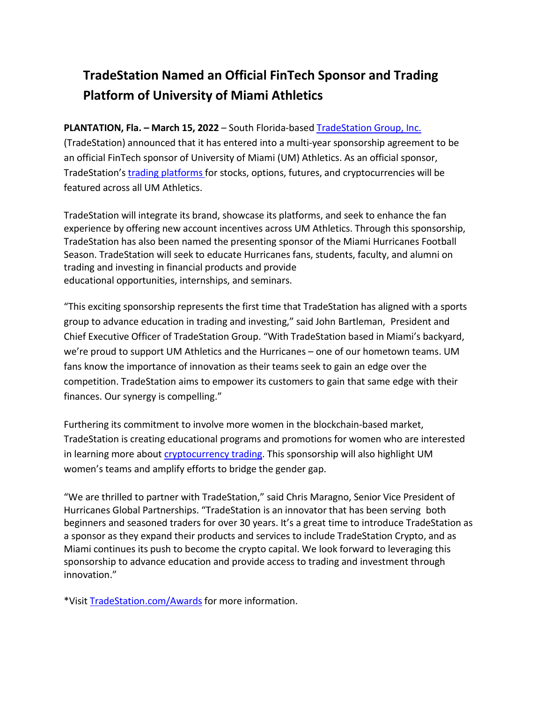## **TradeStation Named an Official FinTech Sponsor and Trading Platform of University of Miami Athletics**

### **PLANTATION, Fla. – March 15, 2022** – South Florida-based [TradeStation](https://www.tradestation.com/?utm_source=prnewswire&utm_medium=referral&utm_content=fintech+sponsor+miami+university) Group, Inc.

(TradeStation) announced that it has entered into a multi-year sponsorship agreement to be an official FinTech sponsor of University of Miami (UM) Athletics. As an official sponsor, TradeStation's [trading platforms](https://www.tradestation.com/platforms-and-tools/?utm_source=prnewswire&utm_medium=referral&utm_content=fintech+sponsor+miami+university) for stocks, options, futures, and cryptocurrencies will be featured across all UM Athletics.

TradeStation will integrate its brand, showcase its platforms, and seek to enhance the fan experience by offering new account incentives across UM Athletics. Through this sponsorship, TradeStation has also been named the presenting sponsor of the Miami Hurricanes Football Season. TradeStation will seek to educate Hurricanes fans, students, faculty, and alumni on trading and investing in financial products and provide educational opportunities, internships, and seminars.

"This exciting sponsorship represents the first time that TradeStation has aligned with a sports group to advance education in trading and investing," said John Bartleman, President and Chief Executive Officer of TradeStation Group. "With TradeStation based in Miami's backyard, we're proud to support UM Athletics and the Hurricanes – one of our hometown teams. UM fans know the importance of innovation as their teams seek to gain an edge over the competition. TradeStation aims to empower its customers to gain that same edge with their finances. Our synergy is compelling."

Furthering its commitment to involve more women in the blockchain-based market, TradeStation is creating educational programs and promotions for women who are interested in learning more about [cryptocurrency trading.](https://www.tradestation.com/crypto/?utm_source=prnewswire&utm_medium=referral&utm_content=fintech+sponsor+miami+university) This sponsorship will also highlight UM women's teams and amplify efforts to bridge the gender gap.

"We are thrilled to partner with TradeStation," said Chris Maragno, Senior Vice President of Hurricanes Global Partnerships. "TradeStation is an innovator that has been serving both beginners and seasoned traders for over 30 years. It's a great time to introduce TradeStation as a sponsor as they expand their products and services to include TradeStation Crypto, and as Miami continues its push to become the crypto capital. We look forward to leveraging this sponsorship to advance education and provide access to trading and investment through innovation."

\*Visit [TradeStation.com/Awards](https://www.tradestation.com/Awards%20?utm_source=prnewswire&utm_medium=referral&utm_content=fintech+sponsor+miami+university) for more information.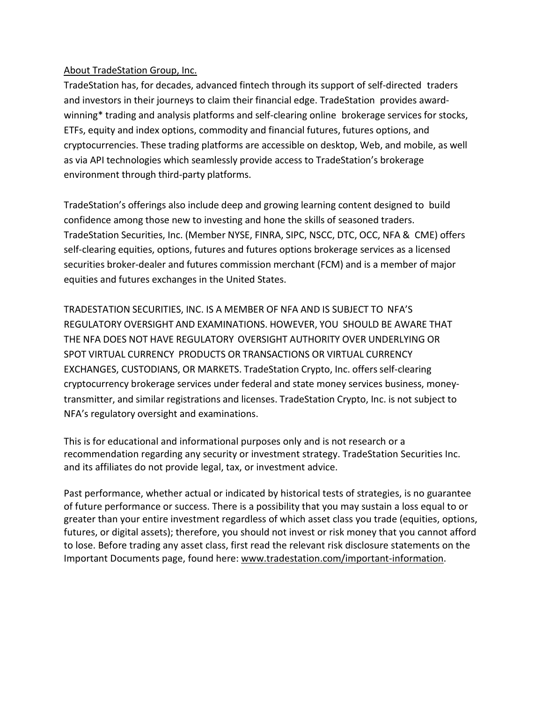### About TradeStation Group, Inc.

TradeStation has, for decades, advanced fintech through its support of self-directed traders and investors in their journeys to claim their financial edge. TradeStation provides awardwinning\* trading and analysis platforms and self-clearing online brokerage services for stocks, ETFs, equity and index options, commodity and financial futures, futures options, and cryptocurrencies. These trading platforms are accessible on desktop, Web, and mobile, as well as via API technologies which seamlessly provide access to TradeStation's brokerage environment through third-party platforms.

TradeStation's offerings also include deep and growing learning content designed to build confidence among those new to investing and hone the skills of seasoned traders. TradeStation Securities, Inc. (Member NYSE, FINRA, SIPC, NSCC, DTC, OCC, NFA & CME) offers self-clearing equities, options, futures and futures options brokerage services as a licensed securities broker-dealer and futures commission merchant (FCM) and is a member of major equities and futures exchanges in the United States.

TRADESTATION SECURITIES, INC. IS A MEMBER OF NFA AND IS SUBJECT TO NFA'S REGULATORY OVERSIGHT AND EXAMINATIONS. HOWEVER, YOU SHOULD BE AWARE THAT THE NFA DOES NOT HAVE REGULATORY OVERSIGHT AUTHORITY OVER UNDERLYING OR SPOT VIRTUAL CURRENCY PRODUCTS OR TRANSACTIONS OR VIRTUAL CURRENCY EXCHANGES, CUSTODIANS, OR MARKETS. TradeStation Crypto, Inc. offersself-clearing cryptocurrency brokerage services under federal and state money services business, moneytransmitter, and similar registrations and licenses. TradeStation Crypto, Inc. is not subject to NFA's regulatory oversight and examinations.

This is for educational and informational purposes only and is not research or a recommendation regarding any security or investment strategy. TradeStation Securities Inc. and its affiliates do not provide legal, tax, or investment advice.

Past performance, whether actual or indicated by historical tests of strategies, is no guarantee of future performance or success. There is a possibility that you may sustain a loss equal to or greater than your entire investment regardless of which asset class you trade (equities, options, futures, or digital assets); therefore, you should not invest or risk money that you cannot afford to lose. Before trading any asset class, first read the relevant risk disclosure statements on the Important Documents page, found here: [www.tradestation.com/important-information.](http://www.tradestation.com/important-information)